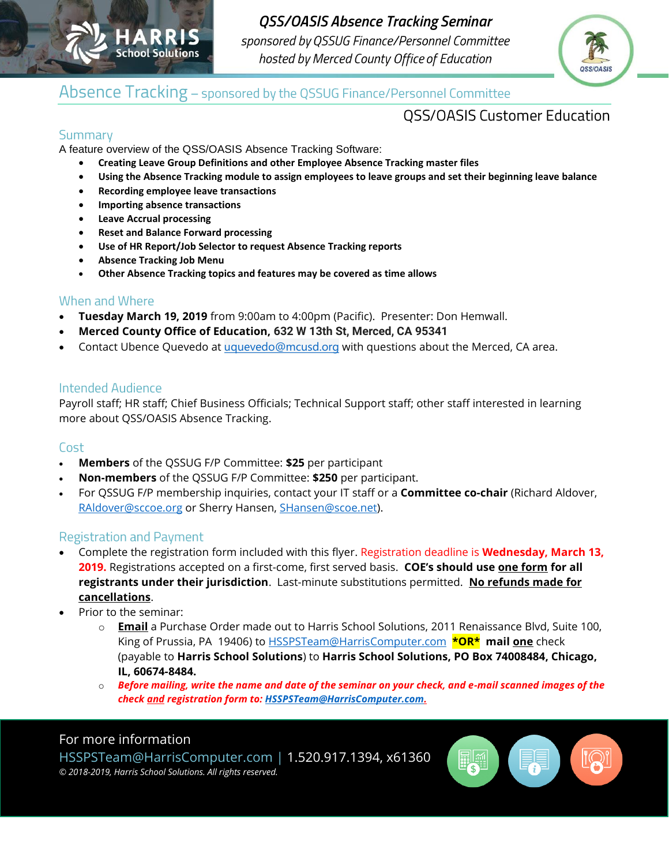

**QSS/OASIS Absence Tracking Seminar** sponsored by QSSUG Finance/Personnel Committee hosted by Merced County Office of Education



## Absence Tracking - sponsored by the QSSUG Finance/Personnel Committee

## **QSS/OASIS Customer Education**

### Summary

A feature overview of the QSS/OASIS Absence Tracking Software:

- **Creating Leave Group Definitions and other Employee Absence Tracking master files**
- **Using the Absence Tracking module to assign employees to leave groups and set their beginning leave balance**
- **Recording employee leave transactions**
- **Importing absence transactions**
- **Leave Accrual processing**
- **Reset and Balance Forward processing**
- **Use of HR Report/Job Selector to request Absence Tracking reports**
- **Absence Tracking Job Menu**
- **Other Absence Tracking topics and features may be covered as time allows**

#### When and Where

- **Tuesday March 19, 2019** from 9:00am to 4:00pm (Pacific). Presenter: Don Hemwall.
- **Merced County Office of Education, 632 W 13th St, Merced, CA 95341**
- Contact Ubence Quevedo at [uquevedo@mcusd.org](mailto:uquevedo@mcusd.org) with questions about the Merced, CA area.

#### **Intended Audience**

Payroll staff; HR staff; Chief Business Officials; Technical Support staff; other staff interested in learning more about QSS/OASIS Absence Tracking.

#### Cost

- **Members** of the QSSUG F/P Committee: **\$25** per participant
- **Non-members** of the QSSUG F/P Committee: **\$250** per participant.
- For QSSUG F/P membership inquiries, contact your IT staff or a **Committee co-chair** (Richard Aldover, [RAldover@sccoe.org](mailto:RAldover@sccoe.org) or Sherry Hansen, [SHansen@scoe.net\)](mailto:SHansen@scoe.net).

#### **Registration and Payment**

- Complete the registration form included with this flyer. Registration deadline is **Wednesday, March 13, 2019.** Registrations accepted on a first-come, first served basis. **COE's should use one form for all registrants under their jurisdiction**. Last-minute substitutions permitted. **No refunds made for cancellations**.
- Prior to the seminar:
	- o **Email** a Purchase Order made out to Harris School Solutions, 2011 Renaissance Blvd, Suite 100, King of Prussia, PA 19406) to HSSPSTeam@HarrisComputer.com **\*OR\* mail one** check (payable to **Harris School Solutions**) to **Harris School Solutions, PO Box 74008484, Chicago, IL, 60674-8484.**
	- o *Before mailing, write the name and date of the seminar on your check, and e-mail scanned images of the check and registration form to[: HSSPSTeam@HarrisComputer.com.](mailto:HSSPSTeam@HarrisComputer.com)*

#### For more information

HSSPSTeam@HarrisComputer.com | 1.520.917.1394, x61360 *© 2018-2019, Harris School Solutions. All rights reserved.*